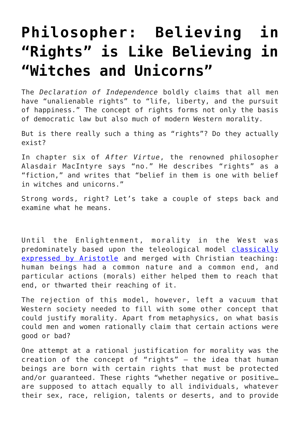## **[Philosopher: Believing in](https://intellectualtakeout.org/2015/11/philosopher-believing-in-rights-is-like-believing-in-witches-and-unicorns/) ["Rights" is Like Believing in](https://intellectualtakeout.org/2015/11/philosopher-believing-in-rights-is-like-believing-in-witches-and-unicorns/) ["Witches and Unicorns"](https://intellectualtakeout.org/2015/11/philosopher-believing-in-rights-is-like-believing-in-witches-and-unicorns/)**

The *Declaration of Independence* boldly claims that all men have "unalienable rights" to "life, liberty, and the pursuit of happiness." The concept of rights forms not only the basis of democratic law but also much of modern Western morality.

But is there really such a thing as "rights"? Do they actually exist?

In chapter six of *After Virtue*, the renowned philosopher Alasdair MacIntyre says "no." He describes "rights" as a "fiction," and writes that "belief in them is one with belief in witches and unicorns."

Strong words, right? Let's take a couple of steps back and examine what he means.

Until the Enlightenment, morality in the West was predominately based upon the teleological model [classically](https://www.intellectualtakeout.org/blog/why-we-have-moral-relativism-today) [expressed by Aristotle](https://www.intellectualtakeout.org/blog/why-we-have-moral-relativism-today) and merged with Christian teaching: human beings had a common nature and a common end, and particular actions (morals) either helped them to reach that end, or thwarted their reaching of it.

The rejection of this model, however, left a vacuum that Western society needed to fill with some other concept that could justify morality. Apart from metaphysics, on what basis could men and women rationally claim that certain actions were good or bad?

One attempt at a rational justification for morality was the creation of the concept of "rights" — the idea that human beings are born with certain rights that must be protected and/or quaranteed. These rights "whether negative or positive... are supposed to attach equally to all individuals, whatever their sex, race, religion, talents or deserts, and to provide